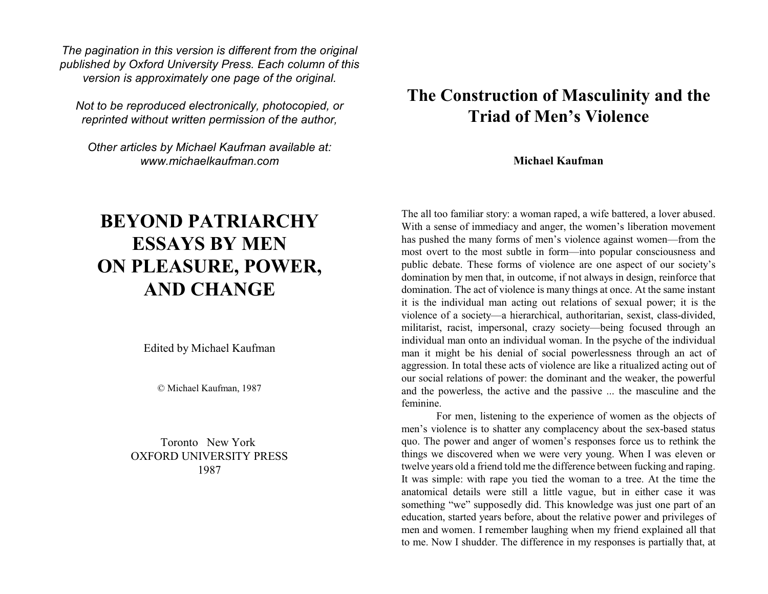*The pagination in this version is different from the original published by Oxford University Press. Each column of this version is approximately one page of the original.*

*Not to be reproduced electronically, photocopied, or reprinted without written permission of the author,*

*Other articles by Michael Kaufman available at: www.michaelkaufman.com*

## **The Construction of Masculinity and the Triad of Men's Violence**

### **Michael Kaufman**

# **BEYOND PATRIARCHY ESSAYS BY MEN ON PLEASURE, POWER, AND CHANGE**

Edited by Michael Kaufman

© Michael Kaufman, 1987

Toronto New York OXFORD UNIVERSITY PRESS 1987

The all too familiar story: a woman raped, a wife battered, a lover abused. With a sense of immediacy and anger, the women's liberation movement has pushed the many forms of men's violence against women—from the most overt to the most subtle in form—into popular consciousness and public debate. These forms of violence are one aspect of our society's domination by men that, in outcome, if not always in design, reinforce that domination. The act of violence is many things at once. At the same instant it is the individual man acting out relations of sexual power; it is the violence of a society—a hierarchical, authoritarian, sexist, class-divided, militarist, racist, impersonal, crazy society—being focused through an individual man onto an individual woman. In the psyche of the individual man it might be his denial of social powerlessness through an act of aggression. In total these acts of violence are like a ritualized acting out of our social relations of power: the dominant and the weaker, the powerful and the powerless, the active and the passive ... the masculine and the feminine.

For men, listening to the experience of women as the objects of men's violence is to shatter any complacency about the sex-based status quo. The power and anger of women's responses force us to rethink the things we discovered when we were very young. When I was eleven or twelve years old a friend told me the difference between fucking and raping. It was simple: with rape you tied the woman to a tree. At the time the anatomical details were still a little vague, but in either case it was something "we" supposedly did. This knowledge was just one part of an education, started years before, about the relative power and privileges of men and women. I remember laughing when my friend explained all that to me. Now I shudder. The difference in my responses is partially that, at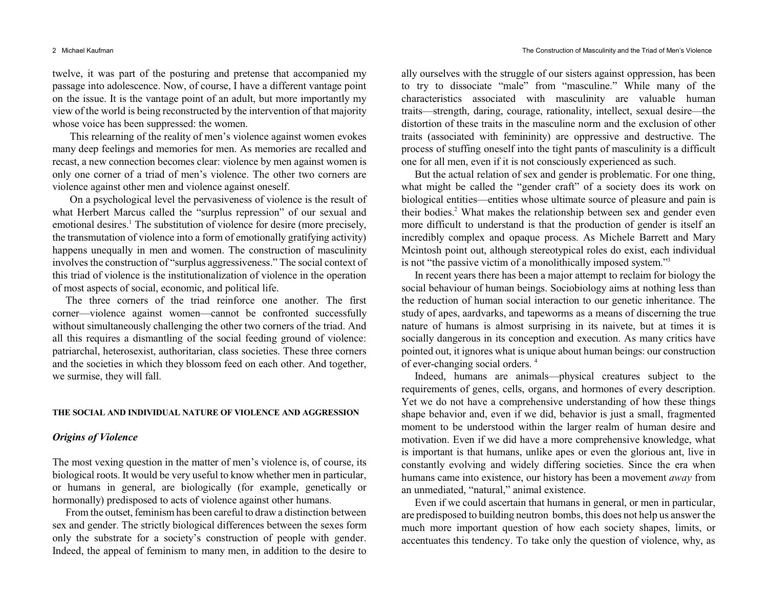twelve, it was part of the posturing and pretense that accompanied my passage into adolescence. Now, of course, I have a different vantage point on the issue. It is the vantage point of an adult, but more importantly my view of the world is being reconstructed by the intervention of that majority whose voice has been suppressed: the women.

This relearning of the reality of men's violence against women evokes many deep feelings and memories for men. As memories are recalled and recast, a new connection becomes clear: violence by men against women is only one corner of a triad of men's violence. The other two corners are violence against other men and violence against oneself.

On a psychological level the pervasiveness of violence is the result of what Herbert Marcus called the "surplus repression" of our sexual and emotional desires.<sup>1</sup> The substitution of violence for desire (more precisely, the transmutation of violence into a form of emotionally gratifying activity) happens unequally in men and women. The construction of masculinity involves the construction of "surplus aggressiveness." The social context of this triad of violence is the institutionalization of violence in the operation of most aspects of social, economic, and political life.

The three corners of the triad reinforce one another. The first corner—violence against women—cannot be confronted successfully without simultaneously challenging the other two corners of the triad. And all this requires a dismantling of the social feeding ground of violence: patriarchal, heterosexist, authoritarian, class societies. These three corners and the societies in which they blossom feed on each other. And together, we surmise, they will fall.

### **THE SOCIAL AND INDIVIDUAL NATURE OF VIOLENCE AND AGGRESSION**

### *Origins of Violence*

The most vexing question in the matter of men's violence is, of course, its biological roots. It would be very useful to know whether men in particular, or humans in general, are biologically (for example, genetically or hormonally) predisposed to acts of violence against other humans.

From the outset, feminism has been careful to draw a distinction between sex and gender. The strictly biological differences between the sexes form only the substrate for a society's construction of people with gender. Indeed, the appeal of feminism to many men, in addition to the desire to

ally ourselves with the struggle of our sisters against oppression, has been to try to dissociate "male" from "masculine." While many of the characteristics associated with masculinity are valuable human traits—strength, daring, courage, rationality, intellect, sexual desire—the distortion of these traits in the masculine norm and the exclusion of other traits (associated with femininity) are oppressive and destructive. The process of stuffing oneself into the tight pants of masculinity is a difficult one for all men, even if it is not consciously experienced as such.

But the actual relation of sex and gender is problematic. For one thing, what might be called the "gender craft" of a society does its work on biological entities—entities whose ultimate source of pleasure and pain is their bodies.<sup>2</sup> What makes the relationship between sex and gender even more difficult to understand is that the production of gender is itself an incredibly complex and opaque process. As Michele Barrett and Mary Mcintosh point out, although stereotypical roles do exist, each individual is not "the passive victim of a monolithically imposed system."<sup>3</sup>

In recent years there has been a major attempt to reclaim for biology the social behaviour of human beings. Sociobiology aims at nothing less than the reduction of human social interaction to our genetic inheritance. The study of apes, aardvarks, and tapeworms as a means of discerning the true nature of humans is almost surprising in its naivete, but at times it is socially dangerous in its conception and execution. As many critics have pointed out, it ignores what is unique about human beings: our construction of ever-changing social orders. 4

Indeed, humans are animals—physical creatures subject to the requirements of genes, cells, organs, and hormones of every description. Yet we do not have a comprehensive understanding of how these things shape behavior and, even if we did, behavior is just a small, fragmented moment to be understood within the larger realm of human desire and motivation. Even if we did have a more comprehensive knowledge, what is important is that humans, unlike apes or even the glorious ant, live in constantly evolving and widely differing societies. Since the era when humans came into existence, our history has been a movement *away* from an unmediated, "natural," animal existence.

Even if we could ascertain that humans in general, or men in particular, are predisposed to building neutron bombs, this does not help us answer the much more important question of how each society shapes, limits, or accentuates this tendency. To take only the question of violence, why, as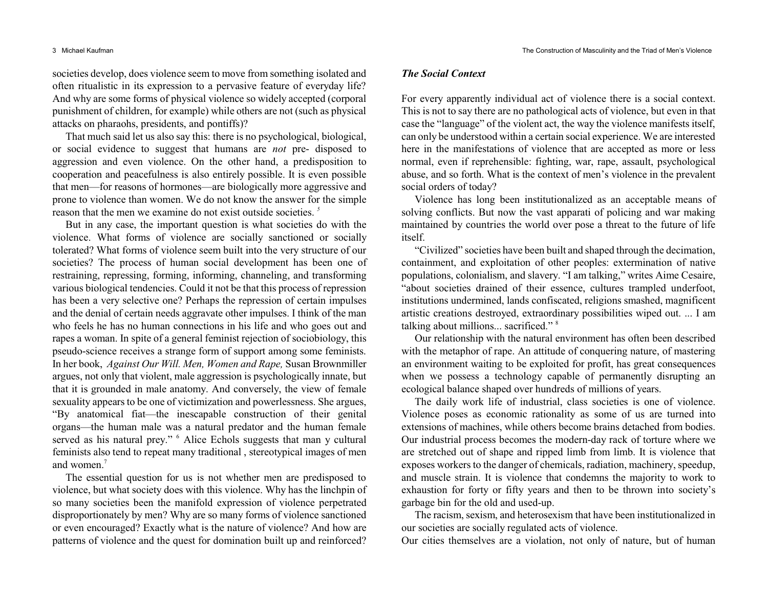societies develop, does violence seem to move from something isolated and often ritualistic in its expression to a pervasive feature of everyday life? And why are some forms of physical violence so widely accepted (corporal punishment of children, for example) while others are not (such as physical attacks on pharaohs, presidents, and pontiffs)?

That much said let us also say this: there is no psychological, biological, or social evidence to suggest that humans are *not* pre- disposed to aggression and even violence. On the other hand, a predisposition to cooperation and peacefulness is also entirely possible. It is even possible that men—for reasons of hormones—are biologically more aggressive and prone to violence than women. We do not know the answer for the simple reason that the men we examine do not exist outside societies. *5*

But in any case, the important question is what societies do with the violence. What forms of violence are socially sanctioned or socially tolerated? What forms of violence seem built into the very structure of our societies? The process of human social development has been one of restraining, repressing, forming, informing, channeling, and transforming various biological tendencies. Could it not be that this process of repression has been a very selective one? Perhaps the repression of certain impulses and the denial of certain needs aggravate other impulses. I think of the man who feels he has no human connections in his life and who goes out and rapes a woman. In spite of a general feminist rejection of sociobiology, this pseudo-science receives a strange form of support among some feminists. In her book, *Against Our Will. Men, Women and Rape,* Susan Brownmiller argues, not only that violent, male aggression is psychologically innate, but that it is grounded in male anatomy. And conversely, the view of female sexuality appears to be one of victimization and powerlessness. She argues, "By anatomical fiat—the inescapable construction of their genital organs—the human male was a natural predator and the human female served as his natural prey." <sup>6</sup> Alice Echols suggests that man y cultural feminists also tend to repeat many traditional , stereotypical images of men and women.<sup>7</sup>

The essential question for us is not whether men are predisposed to violence, but what society does with this violence. Why has the linchpin of so many societies been the manifold expression of violence perpetrated disproportionately by men? Why are so many forms of violence sanctioned or even encouraged? Exactly what is the nature of violence? And how are patterns of violence and the quest for domination built up and reinforced?

### *The Social Context*

For every apparently individual act of violence there is a social context. This is not to say there are no pathological acts of violence, but even in that case the "language" of the violent act, the way the violence manifests itself, can only be understood within a certain social experience. We are interested here in the manifestations of violence that are accepted as more or less normal, even if reprehensible: fighting, war, rape, assault, psychological abuse, and so forth. What is the context of men's violence in the prevalent social orders of today?

Violence has long been institutionalized as an acceptable means of solving conflicts. But now the vast apparati of policing and war making maintained by countries the world over pose a threat to the future of life itself.

"Civilized" societies have been built and shaped through the decimation, containment, and exploitation of other peoples: extermination of native populations, colonialism, and slavery. "I am talking," writes Aime Cesaire, "about societies drained of their essence, cultures trampled underfoot, institutions undermined, lands confiscated, religions smashed, magnificent artistic creations destroyed, extraordinary possibilities wiped out. ... I am talking about millions... sacrificed." <sup>8</sup>

Our relationship with the natural environment has often been described with the metaphor of rape. An attitude of conquering nature, of mastering an environment waiting to be exploited for profit, has great consequences when we possess a technology capable of permanently disrupting an ecological balance shaped over hundreds of millions of years.

The daily work life of industrial, class societies is one of violence. Violence poses as economic rationality as some of us are turned into extensions of machines, while others become brains detached from bodies. Our industrial process becomes the modern-day rack of torture where we are stretched out of shape and ripped limb from limb. It is violence that exposes workers to the danger of chemicals, radiation, machinery, speedup, and muscle strain. It is violence that condemns the majority to work to exhaustion for forty or fifty years and then to be thrown into society's garbage bin for the old and used-up.

The racism, sexism, and heterosexism that have been institutionalized in our societies are socially regulated acts of violence.

Our cities themselves are a violation, not only of nature, but of human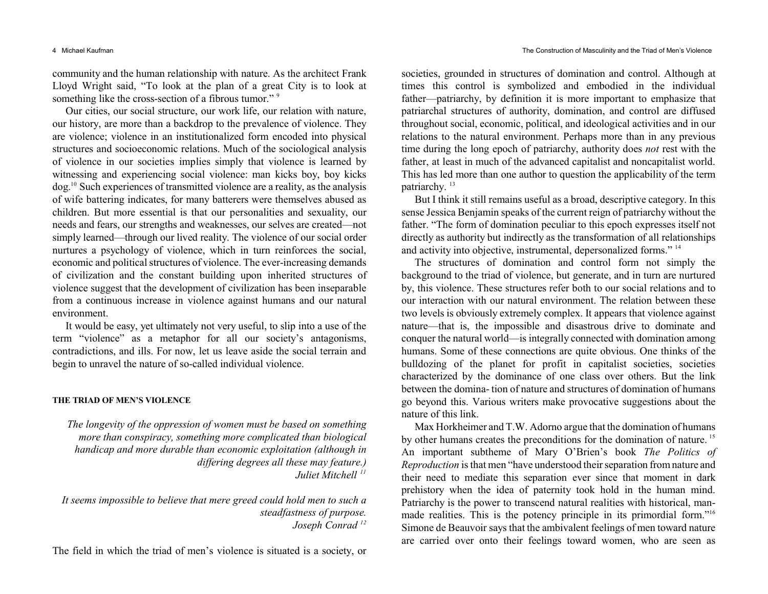community and the human relationship with nature. As the architect Frank Lloyd Wright said, "To look at the plan of a great City is to look at something like the cross-section of a fibrous tumor."<sup>9</sup>

Our cities, our social structure, our work life, our relation with nature, our history, are more than a backdrop to the prevalence of violence. They are violence; violence in an institutionalized form encoded into physical structures and socioeconomic relations. Much of the sociological analysis of violence in our societies implies simply that violence is learned by witnessing and experiencing social violence: man kicks boy, boy kicks dog.<sup>10</sup> Such experiences of transmitted violence are a reality, as the analysis of wife battering indicates, for many batterers were themselves abused as children. But more essential is that our personalities and sexuality, our needs and fears, our strengths and weaknesses, our selves are created—not simply learned—through our lived reality. The violence of our social order nurtures a psychology of violence, which in turn reinforces the social, economic and political structures of violence. The ever-increasing demands of civilization and the constant building upon inherited structures of violence suggest that the development of civilization has been inseparable from a continuous increase in violence against humans and our natural environment.

It would be easy, yet ultimately not very useful, to slip into a use of the term "violence" as a metaphor for all our society's antagonisms, contradictions, and ills. For now, let us leave aside the social terrain and begin to unravel the nature of so-called individual violence.

### **THE TRIAD OF MEN'S VIOLENCE**

*The longevity of the oppression of women must be based on something more than conspiracy, something more complicated than biological handicap and more durable than economic exploitation (although in differing degrees all these may feature.) Juliet Mitchell <sup>11</sup>*

*It seems impossible to believe that mere greed could hold men to such a steadfastness of purpose. Joseph Conrad <sup>12</sup>*

The field in which the triad of men's violence is situated is a society, or

societies, grounded in structures of domination and control. Although at times this control is symbolized and embodied in the individual father—patriarchy, by definition it is more important to emphasize that patriarchal structures of authority, domination, and control are diffused throughout social, economic, political, and ideological activities and in our relations to the natural environment. Perhaps more than in any previous time during the long epoch of patriarchy, authority does *not* rest with the father, at least in much of the advanced capitalist and noncapitalist world. This has led more than one author to question the applicability of the term patriarchy.<sup>13</sup>

But I think it still remains useful as a broad, descriptive category. In this sense Jessica Benjamin speaks of the current reign of patriarchy without the father. "The form of domination peculiar to this epoch expresses itself not directly as authority but indirectly as the transformation of all relationships and activity into objective, instrumental, depersonalized forms." <sup>14</sup>

The structures of domination and control form not simply the background to the triad of violence, but generate, and in turn are nurtured by, this violence. These structures refer both to our social relations and to our interaction with our natural environment. The relation between these two levels is obviously extremely complex. It appears that violence against nature—that is, the impossible and disastrous drive to dominate and conquer the natural world—is integrally connected with domination among humans. Some of these connections are quite obvious. One thinks of the bulldozing of the planet for profit in capitalist societies, societies characterized by the dominance of one class over others. But the link between the domina- tion of nature and structures of domination of humans go beyond this. Various writers make provocative suggestions about the nature of this link.

Max Horkheimer and T.W. Adorno argue that the domination of humans by other humans creates the preconditions for the domination of nature. <sup>15</sup> An important subtheme of Mary O'Brien's book *The Politics of Reproduction* isthat men "have understood their separation fromnature and their need to mediate this separation ever since that moment in dark prehistory when the idea of paternity took hold in the human mind. Patriarchy is the power to transcend natural realities with historical, manmade realities. This is the potency principle in its primordial form."<sup>16</sup> Simone de Beauvoir says that the ambivalent feelings of men toward nature are carried over onto their feelings toward women, who are seen as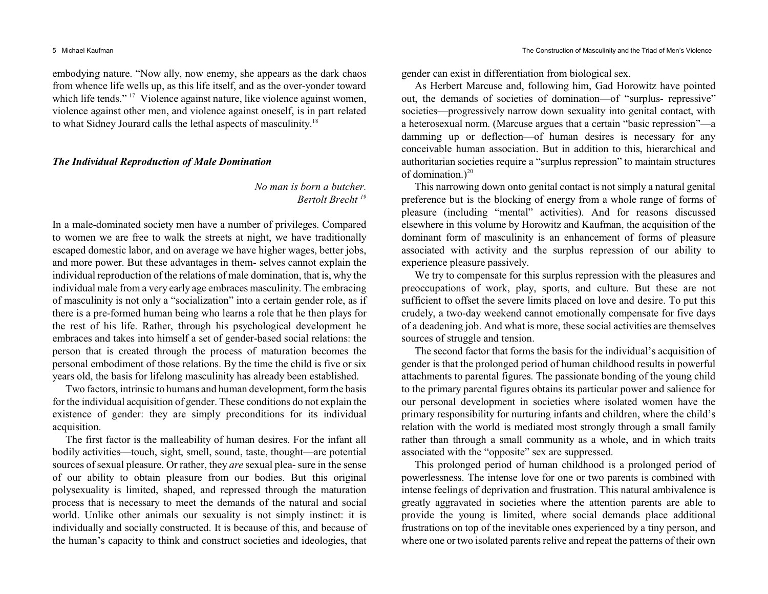embodying nature. "Now ally, now enemy, she appears as the dark chaos from whence life wells up, as this life itself, and as the over-yonder toward which life tends."<sup>17</sup> Violence against nature, like violence against women, violence against other men, and violence against oneself, is in part related to what Sidney Jourard calls the lethal aspects of masculinity.<sup>18</sup>

### *The Individual Reproduction of Male Domination*

### *No man is born a butcher. Bertolt Brecht <sup>19</sup>*

In a male-dominated society men have a number of privileges. Compared to women we are free to walk the streets at night, we have traditionally escaped domestic labor, and on average we have higher wages, better jobs, and more power. But these advantages in them- selves cannot explain the individual reproduction of the relations of male domination, that is, why the individual male from a very early age embraces masculinity. The embracing of masculinity is not only a "socialization" into a certain gender role, as if there is a pre-formed human being who learns a role that he then plays for the rest of his life. Rather, through his psychological development he embraces and takes into himself a set of gender-based social relations: the person that is created through the process of maturation becomes the personal embodiment of those relations. By the time the child is five or six years old, the basis for lifelong masculinity has already been established.

Two factors, intrinsic to humans and human development, form the basis for the individual acquisition of gender. These conditions do not explain the existence of gender: they are simply preconditions for its individual acquisition.

The first factor is the malleability of human desires. For the infant all bodily activities—touch, sight, smell, sound, taste, thought—are potential sources of sexual pleasure. Or rather, they *are* sexual plea- sure in the sense of our ability to obtain pleasure from our bodies. But this original polysexuality is limited, shaped, and repressed through the maturation process that is necessary to meet the demands of the natural and social world. Unlike other animals our sexuality is not simply instinct: it is individually and socially constructed. It is because of this, and because of the human's capacity to think and construct societies and ideologies, that gender can exist in differentiation from biological sex.

As Herbert Marcuse and, following him, Gad Horowitz have pointed out, the demands of societies of domination—of "surplus- repressive" societies—progressively narrow down sexuality into genital contact, with a heterosexual norm. (Marcuse argues that a certain "basic repression"—a damming up or deflection—of human desires is necessary for any conceivable human association. But in addition to this, hierarchical and authoritarian societies require a "surplus repression" to maintain structures of domination.) $^{20}$ 

This narrowing down onto genital contact is not simply a natural genital preference but is the blocking of energy from a whole range of forms of pleasure (including "mental" activities). And for reasons discussed elsewhere in this volume by Horowitz and Kaufman, the acquisition of the dominant form of masculinity is an enhancement of forms of pleasure associated with activity and the surplus repression of our ability to experience pleasure passively.

We try to compensate for this surplus repression with the pleasures and preoccupations of work, play, sports, and culture. But these are not sufficient to offset the severe limits placed on love and desire. To put this crudely, a two-day weekend cannot emotionally compensate for five days of a deadening job. And what is more, these social activities are themselves sources of struggle and tension.

The second factor that forms the basis for the individual's acquisition of gender is that the prolonged period of human childhood results in powerful attachments to parental figures. The passionate bonding of the young child to the primary parental figures obtains its particular power and salience for our personal development in societies where isolated women have the primary responsibility for nurturing infants and children, where the child's relation with the world is mediated most strongly through a small family rather than through a small community as a whole, and in which traits associated with the "opposite" sex are suppressed.

This prolonged period of human childhood is a prolonged period of powerlessness. The intense love for one or two parents is combined with intense feelings of deprivation and frustration. This natural ambivalence is greatly aggravated in societies where the attention parents are able to provide the young is limited, where social demands place additional frustrations on top of the inevitable ones experienced by a tiny person, and where one or two isolated parents relive and repeat the patterns of their own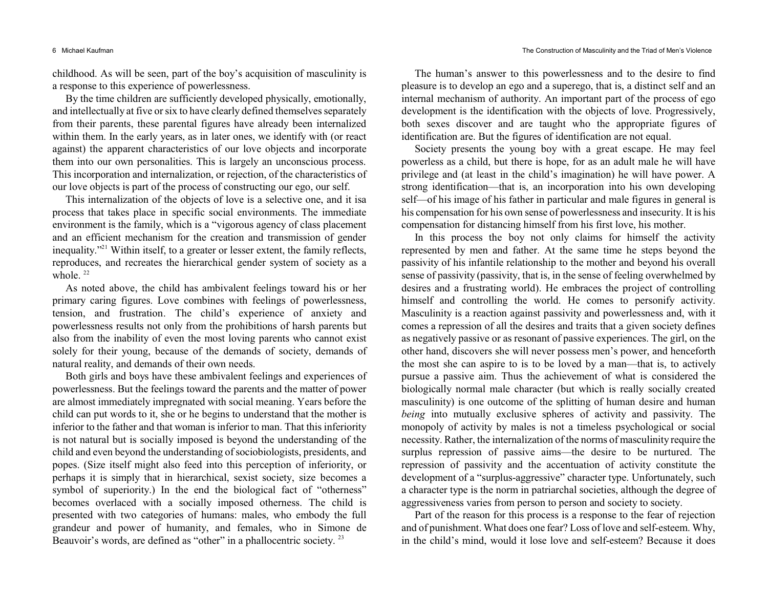childhood. As will be seen, part of the boy's acquisition of masculinity is a response to this experience of powerlessness.

By the time children are sufficiently developed physically, emotionally, and intellectually at five or six to have clearly defined themselves separately from their parents, these parental figures have already been internalized within them. In the early years, as in later ones, we identify with (or react against) the apparent characteristics of our love objects and incorporate them into our own personalities. This is largely an unconscious process. This incorporation and internalization, or rejection, of the characteristics of our love objects is part of the process of constructing our ego, our self.

This internalization of the objects of love is a selective one, and it isa process that takes place in specific social environments. The immediate environment is the family, which is a "vigorous agency of class placement and an efficient mechanism for the creation and transmission of gender inequality."<sup>21</sup> Within itself, to a greater or lesser extent, the family reflects, reproduces, and recreates the hierarchical gender system of society as a whole  $22$ 

As noted above, the child has ambivalent feelings toward his or her primary caring figures. Love combines with feelings of powerlessness, tension, and frustration. The child's experience of anxiety and powerlessness results not only from the prohibitions of harsh parents but also from the inability of even the most loving parents who cannot exist solely for their young, because of the demands of society, demands of natural reality, and demands of their own needs.

Both girls and boys have these ambivalent feelings and experiences of powerlessness. But the feelings toward the parents and the matter of power are almost immediately impregnated with social meaning. Years before the child can put words to it, she or he begins to understand that the mother is inferior to the father and that woman is inferior to man. That this inferiority is not natural but is socially imposed is beyond the understanding of the child and even beyond the understanding of sociobiologists, presidents, and popes. (Size itself might also feed into this perception of inferiority, or perhaps it is simply that in hierarchical, sexist society, size becomes a symbol of superiority.) In the end the biological fact of "otherness" becomes overlaced with a socially imposed otherness. The child is presented with two categories of humans: males, who embody the full grandeur and power of humanity, and females, who in Simone de Beauvoir's words, are defined as "other" in a phallocentric society.<sup>23</sup>

The human's answer to this powerlessness and to the desire to find pleasure is to develop an ego and a superego, that is, a distinct self and an internal mechanism of authority. An important part of the process of ego development is the identification with the objects of love. Progressively, both sexes discover and are taught who the appropriate figures of identification are. But the figures of identification are not equal.

Society presents the young boy with a great escape. He may feel powerless as a child, but there is hope, for as an adult male he will have privilege and (at least in the child's imagination) he will have power. A strong identification—that is, an incorporation into his own developing self—of his image of his father in particular and male figures in general is his compensation for his own sense of powerlessness and insecurity. It is his compensation for distancing himself from his first love, his mother.

In this process the boy not only claims for himself the activity represented by men and father. At the same time he steps beyond the passivity of his infantile relationship to the mother and beyond his overall sense of passivity (passivity, that is, in the sense of feeling overwhelmed by desires and a frustrating world). He embraces the project of controlling himself and controlling the world. He comes to personify activity. Masculinity is a reaction against passivity and powerlessness and, with it comes a repression of all the desires and traits that a given society defines as negatively passive or as resonant of passive experiences. The girl, on the other hand, discovers she will never possess men's power, and henceforth the most she can aspire to is to be loved by a man—that is, to actively pursue a passive aim. Thus the achievement of what is considered the biologically normal male character (but which is really socially created masculinity) is one outcome of the splitting of human desire and human *being* into mutually exclusive spheres of activity and passivity. The monopoly of activity by males is not a timeless psychological or social necessity. Rather, the internalization of the norms of masculinity require the surplus repression of passive aims—the desire to be nurtured. The repression of passivity and the accentuation of activity constitute the development of a "surplus-aggressive" character type. Unfortunately, such a character type is the norm in patriarchal societies, although the degree of aggressiveness varies from person to person and society to society.

Part of the reason for this process is a response to the fear of rejection and of punishment. What does one fear? Loss of love and self-esteem. Why, in the child's mind, would it lose love and self-esteem? Because it does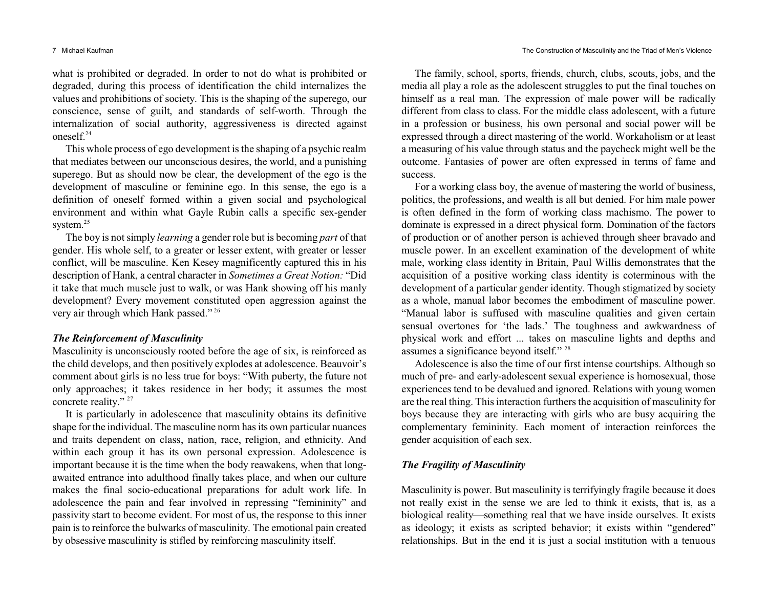what is prohibited or degraded. In order to not do what is prohibited or degraded, during this process of identification the child internalizes the values and prohibitions of society. This is the shaping of the superego, our conscience, sense of guilt, and standards of self-worth. Through the internalization of social authority, aggressiveness is directed against oneself. 24

This whole process of ego development isthe shaping of a psychic realm that mediates between our unconscious desires, the world, and a punishing superego. But as should now be clear, the development of the ego is the development of masculine or feminine ego. In this sense, the ego is a definition of oneself formed within a given social and psychological environment and within what Gayle Rubin calls a specific sex-gender system. 25

The boy is notsimply *learning* a gender role but is becoming *part* of that gender. His whole self, to a greater or lesser extent, with greater or lesser conflict, will be masculine. Ken Kesey magnificently captured this in his description of Hank, a central character in *Sometimes a Great Notion:* "Did it take that much muscle just to walk, or was Hank showing off his manly development? Every movement constituted open aggression against the very air through which Hank passed." <sup>26</sup>

### *The Reinforcement of Masculinity*

Masculinity is unconsciously rooted before the age of six, is reinforced as the child develops, and then positively explodes at adolescence. Beauvoir's comment about girls is no less true for boys: "With puberty, the future not only approaches; it takes residence in her body; it assumes the most concrete reality."<sup>27</sup>

It is particularly in adolescence that masculinity obtains its definitive shape for the individual. The masculine norm has its own particular nuances and traits dependent on class, nation, race, religion, and ethnicity. And within each group it has its own personal expression. Adolescence is important because it is the time when the body reawakens, when that longawaited entrance into adulthood finally takes place, and when our culture makes the final socio-educational preparations for adult work life. In adolescence the pain and fear involved in repressing "femininity" and passivity start to become evident. For most of us, the response to this inner pain isto reinforce the bulwarks of masculinity. The emotional pain created by obsessive masculinity is stifled by reinforcing masculinity itself.

The family, school, sports, friends, church, clubs, scouts, jobs, and the media all play a role as the adolescent struggles to put the final touches on himself as a real man. The expression of male power will be radically different from class to class. For the middle class adolescent, with a future in a profession or business, his own personal and social power will be expressed through a direct mastering of the world. Workaholism or at least a measuring of his value through status and the paycheck might well be the outcome. Fantasies of power are often expressed in terms of fame and success.

For a working class boy, the avenue of mastering the world of business, politics, the professions, and wealth is all but denied. For him male power is often defined in the form of working class machismo. The power to dominate is expressed in a direct physical form. Domination of the factors of production or of another person is achieved through sheer bravado and muscle power. In an excellent examination of the development of white male, working class identity in Britain, Paul Willis demonstrates that the acquisition of a positive working class identity is coterminous with the development of a particular gender identity. Though stigmatized by society as a whole, manual labor becomes the embodiment of masculine power. "Manual labor is suffused with masculine qualities and given certain sensual overtones for 'the lads.' The toughness and awkwardness of physical work and effort ... takes on masculine lights and depths and assumes a significance beyond itself." <sup>28</sup>

Adolescence is also the time of our first intense courtships. Although so much of pre- and early-adolescent sexual experience is homosexual, those experiences tend to be devalued and ignored. Relations with young women are the real thing. This interaction furthers the acquisition of masculinity for boys because they are interacting with girls who are busy acquiring the complementary femininity. Each moment of interaction reinforces the gender acquisition of each sex.

### *The Fragility of Masculinity*

Masculinity is power. But masculinity is terrifyingly fragile because it does not really exist in the sense we are led to think it exists, that is, as a biological reality—something real that we have inside ourselves. It exists as ideology; it exists as scripted behavior; it exists within "gendered" relationships. But in the end it is just a social institution with a tenuous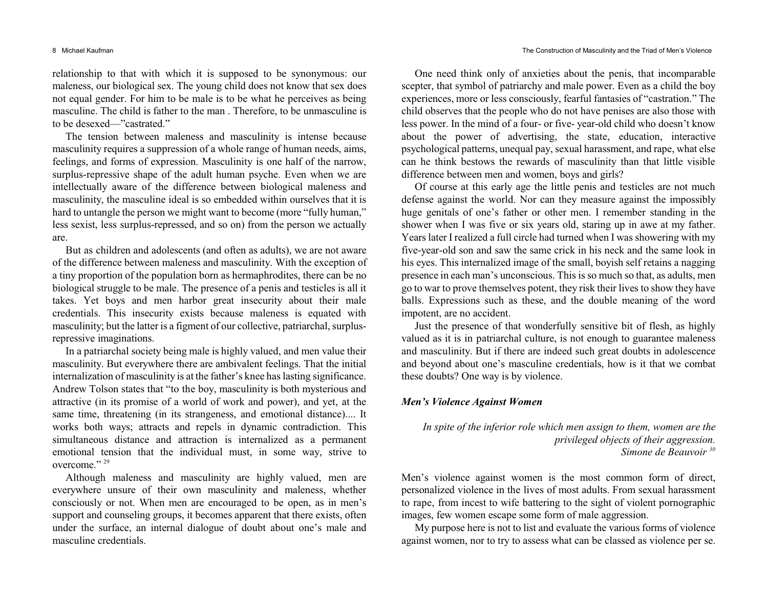relationship to that with which it is supposed to be synonymous: our maleness, our biological sex. The young child does not know that sex does not equal gender. For him to be male is to be what he perceives as being masculine. The child is father to the man . Therefore, to be unmasculine is to be desexed—"castrated."

The tension between maleness and masculinity is intense because masculinity requires a suppression of a whole range of human needs, aims, feelings, and forms of expression. Masculinity is one half of the narrow, surplus-repressive shape of the adult human psyche. Even when we are intellectually aware of the difference between biological maleness and masculinity, the masculine ideal is so embedded within ourselves that it is hard to untangle the person we might want to become (more "fully human," less sexist, less surplus-repressed, and so on) from the person we actually are.

But as children and adolescents (and often as adults), we are not aware of the difference between maleness and masculinity. With the exception of a tiny proportion of the population born as hermaphrodites, there can be no biological struggle to be male. The presence of a penis and testicles is all it takes. Yet boys and men harbor great insecurity about their male credentials. This insecurity exists because maleness is equated with masculinity; but the latter is a figment of our collective, patriarchal, surplusrepressive imaginations.

In a patriarchal society being male is highly valued, and men value their masculinity. But everywhere there are ambivalent feelings. That the initial internalization of masculinity is at the father's knee has lasting significance. Andrew Tolson states that "to the boy, masculinity is both mysterious and attractive (in its promise of a world of work and power), and yet, at the same time, threatening (in its strangeness, and emotional distance).... It works both ways; attracts and repels in dynamic contradiction. This simultaneous distance and attraction is internalized as a permanent emotional tension that the individual must, in some way, strive to overcome." 29

Although maleness and masculinity are highly valued, men are everywhere unsure of their own masculinity and maleness, whether consciously or not. When men are encouraged to be open, as in men's support and counseling groups, it becomes apparent that there exists, often under the surface, an internal dialogue of doubt about one's male and masculine credentials.

One need think only of anxieties about the penis, that incomparable scepter, that symbol of patriarchy and male power. Even as a child the boy experiences, more or less consciously, fearful fantasies of "castration." The child observes that the people who do not have penises are also those with less power. In the mind of a four- or five- year-old child who doesn't know about the power of advertising, the state, education, interactive psychological patterns, unequal pay, sexual harassment, and rape, what else can he think bestows the rewards of masculinity than that little visible difference between men and women, boys and girls?

Of course at this early age the little penis and testicles are not much defense against the world. Nor can they measure against the impossibly huge genitals of one's father or other men. I remember standing in the shower when I was five or six years old, staring up in awe at my father. Years later I realized a full circle had turned when I was showering with my five-year-old son and saw the same crick in his neck and the same look in his eyes. This internalized image of the small, boyish self retains a nagging presence in each man's unconscious. This isso much so that, as adults, men go to war to prove themselves potent, they risk their lives to show they have balls. Expressions such as these, and the double meaning of the word impotent, are no accident.

Just the presence of that wonderfully sensitive bit of flesh, as highly valued as it is in patriarchal culture, is not enough to guarantee maleness and masculinity. But if there are indeed such great doubts in adolescence and beyond about one's masculine credentials, how is it that we combat these doubts? One way is by violence.

### *Men's Violence Against Women*

*In spite of the inferior role which men assign to them, women are the privileged objects of their aggression. Simone de Beauvoir <sup>30</sup>*

Men's violence against women is the most common form of direct, personalized violence in the lives of most adults. From sexual harassment to rape, from incest to wife battering to the sight of violent pornographic images, few women escape some form of male aggression.

My purpose here is not to list and evaluate the various forms of violence against women, nor to try to assess what can be classed as violence per se.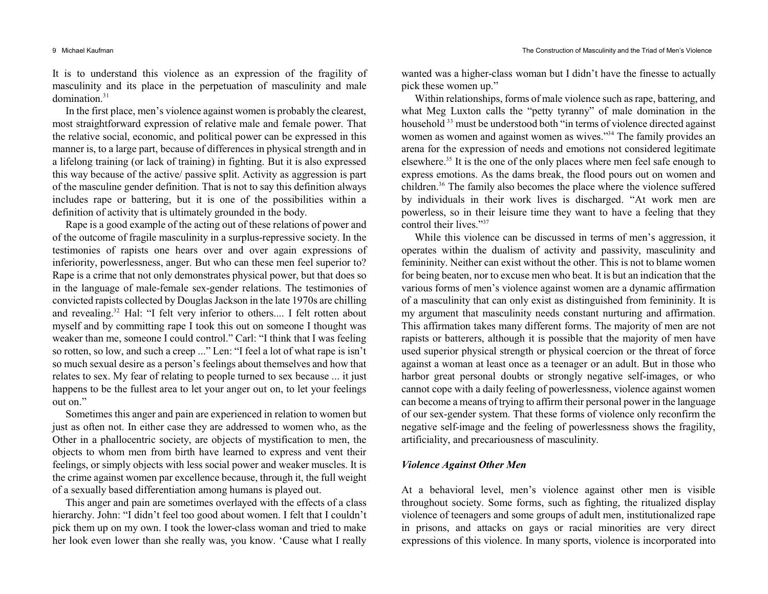It is to understand this violence as an expression of the fragility of masculinity and its place in the perpetuation of masculinity and male domination.<sup>31</sup>

In the first place, men's violence against women is probably the clearest, most straightforward expression of relative male and female power. That the relative social, economic, and political power can be expressed in this manner is, to a large part, because of differences in physical strength and in a lifelong training (or lack of training) in fighting. But it is also expressed this way because of the active/ passive split. Activity as aggression is part of the masculine gender definition. That is not to say this definition always includes rape or battering, but it is one of the possibilities within a definition of activity that is ultimately grounded in the body.

Rape is a good example of the acting out of these relations of power and of the outcome of fragile masculinity in a surplus-repressive society. In the testimonies of rapists one hears over and over again expressions of inferiority, powerlessness, anger. But who can these men feel superior to? Rape is a crime that not only demonstrates physical power, but that does so in the language of male-female sex-gender relations. The testimonies of convicted rapists collected by Douglas Jackson in the late 1970s are chilling and revealing.<sup>32</sup> Hal: "I felt very inferior to others.... I felt rotten about myself and by committing rape I took this out on someone I thought was weaker than me, someone I could control." Carl: "I think that I was feeling so rotten, so low, and such a creep ..." Len: "I feel a lot of what rape is isn't so much sexual desire as a person's feelings about themselves and how that relates to sex. My fear of relating to people turned to sex because ... it just happens to be the fullest area to let your anger out on, to let your feelings out on."

Sometimes this anger and pain are experienced in relation to women but just as often not. In either case they are addressed to women who, as the Other in a phallocentric society, are objects of mystification to men, the objects to whom men from birth have learned to express and vent their feelings, or simply objects with less social power and weaker muscles. It is the crime against women par excellence because, through it, the full weight of a sexually based differentiation among humans is played out.

This anger and pain are sometimes overlayed with the effects of a class hierarchy. John: "I didn't feel too good about women. I felt that I couldn't pick them up on my own. I took the lower-class woman and tried to make her look even lower than she really was, you know. 'Cause what I really

wanted was a higher-class woman but I didn't have the finesse to actually pick these women up."

Within relationships, forms of male violence such asrape, battering, and what Meg Luxton calls the "petty tyranny" of male domination in the household  $33$  must be understood both "in terms of violence directed against women as women and against women as wives."<sup>34</sup> The family provides an arena for the expression of needs and emotions not considered legitimate elsewhere.<sup>35</sup> It is the one of the only places where men feel safe enough to express emotions. As the dams break, the flood pours out on women and children.<sup>36</sup> The family also becomes the place where the violence suffered by individuals in their work lives is discharged. "At work men are powerless, so in their leisure time they want to have a feeling that they control their lives."<sup>37</sup>

While this violence can be discussed in terms of men's aggression, it operates within the dualism of activity and passivity, masculinity and femininity. Neither can exist without the other. This is not to blame women for being beaten, nor to excuse men who beat. It is but an indication that the various forms of men's violence against women are a dynamic affirmation of a masculinity that can only exist as distinguished from femininity. It is my argument that masculinity needs constant nurturing and affirmation. This affirmation takes many different forms. The majority of men are not rapists or batterers, although it is possible that the majority of men have used superior physical strength or physical coercion or the threat of force against a woman at least once as a teenager or an adult. But in those who harbor great personal doubts or strongly negative self-images, or who cannot cope with a daily feeling of powerlessness, violence against women can become a means of trying to affirm their personal power in the language of our sex-gender system. That these forms of violence only reconfirm the negative self-image and the feeling of powerlessness shows the fragility, artificiality, and precariousness of masculinity.

### *Violence Against Other Men*

At a behavioral level, men's violence against other men is visible throughout society. Some forms, such as fighting, the ritualized display violence of teenagers and some groups of adult men, institutionalized rape in prisons, and attacks on gays or racial minorities are very direct expressions of this violence. In many sports, violence is incorporated into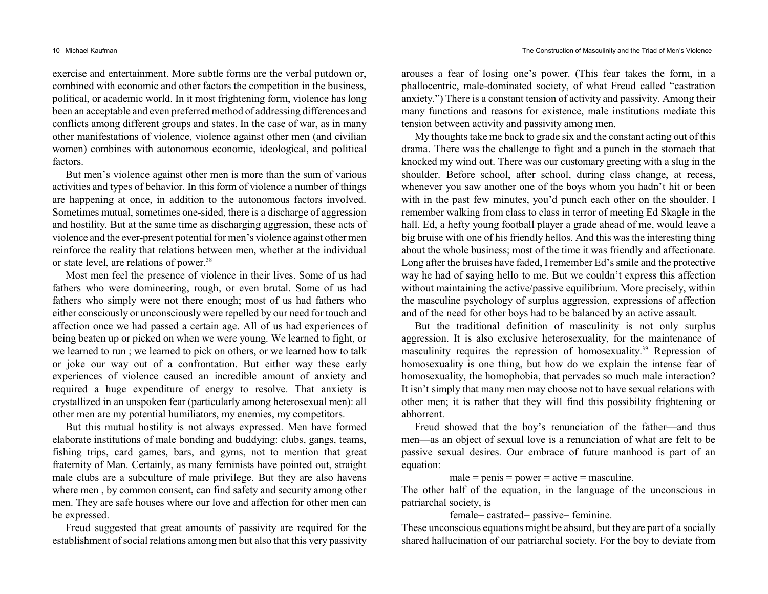exercise and entertainment. More subtle forms are the verbal putdown or, combined with economic and other factors the competition in the business, political, or academic world. In it most frightening form, violence has long been an acceptable and even preferred method of addressing differences and conflicts among different groups and states. In the case of war, as in many other manifestations of violence, violence against other men (and civilian women) combines with autonomous economic, ideological, and political factors.

But men's violence against other men is more than the sum of various activities and types of behavior. In this form of violence a number of things are happening at once, in addition to the autonomous factors involved. Sometimes mutual, sometimes one-sided, there is a discharge of aggression and hostility. But at the same time as discharging aggression, these acts of violence and the ever-present potential for men's violence against other men reinforce the reality that relations between men, whether at the individual or state level, are relations of power.<sup>38</sup>

Most men feel the presence of violence in their lives. Some of us had fathers who were domineering, rough, or even brutal. Some of us had fathers who simply were not there enough; most of us had fathers who either consciously or unconsciouslywere repelled by our need for touch and affection once we had passed a certain age. All of us had experiences of being beaten up or picked on when we were young. We learned to fight, or we learned to run ; we learned to pick on others, or we learned how to talk or joke our way out of a confrontation. But either way these early experiences of violence caused an incredible amount of anxiety and required a huge expenditure of energy to resolve. That anxiety is crystallized in an unspoken fear (particularly among heterosexual men): all other men are my potential humiliators, my enemies, my competitors.

But this mutual hostility is not always expressed. Men have formed elaborate institutions of male bonding and buddying: clubs, gangs, teams, fishing trips, card games, bars, and gyms, not to mention that great fraternity of Man. Certainly, as many feminists have pointed out, straight male clubs are a subculture of male privilege. But they are also havens where men , by common consent, can find safety and security among other men. They are safe houses where our love and affection for other men can be expressed.

Freud suggested that great amounts of passivity are required for the establishment of social relations among men but also that this very passivity

arouses a fear of losing one's power. (This fear takes the form, in a phallocentric, male-dominated society, of what Freud called "castration anxiety.") There is a constant tension of activity and passivity. Among their many functions and reasons for existence, male institutions mediate this tension between activity and passivity among men.

My thoughts take me back to grade six and the constant acting out of this drama. There was the challenge to fight and a punch in the stomach that knocked my wind out. There was our customary greeting with a slug in the shoulder. Before school, after school, during class change, at recess, whenever you saw another one of the boys whom you hadn't hit or been with in the past few minutes, you'd punch each other on the shoulder. I remember walking from class to class in terror of meeting Ed Skagle in the hall. Ed, a hefty young football player a grade ahead of me, would leave a big bruise with one of his friendly hellos. And this wasthe interesting thing about the whole business; most of the time it was friendly and affectionate. Long after the bruises have faded, I remember Ed's smile and the protective way he had of saying hello to me. But we couldn't express this affection without maintaining the active/passive equilibrium. More precisely, within the masculine psychology of surplus aggression, expressions of affection and of the need for other boys had to be balanced by an active assault.

But the traditional definition of masculinity is not only surplus aggression. It is also exclusive heterosexuality, for the maintenance of masculinity requires the repression of homosexuality.<sup> $39$ </sup> Repression of homosexuality is one thing, but how do we explain the intense fear of homosexuality, the homophobia, that pervades so much male interaction? It isn't simply that many men may choose not to have sexual relations with other men; it is rather that they will find this possibility frightening or abhorrent.

Freud showed that the boy's renunciation of the father—and thus men—as an object of sexual love is a renunciation of what are felt to be passive sexual desires. Our embrace of future manhood is part of an equation:

 $male = penis = power = active = masculine.$ 

The other half of the equation, in the language of the unconscious in patriarchal society, is

female= castrated= passive= feminine.

These unconscious equations might be absurd, but they are part of a socially shared hallucination of our patriarchal society. For the boy to deviate from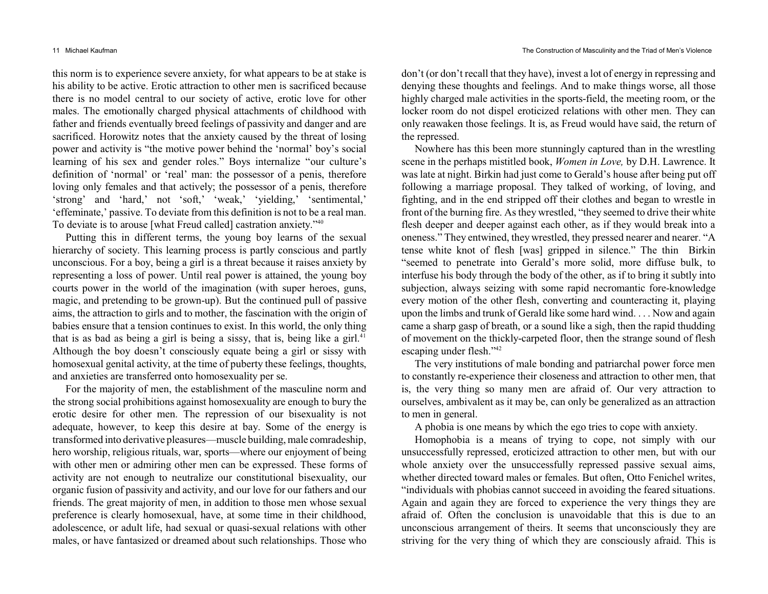this norm is to experience severe anxiety, for what appears to be at stake is his ability to be active. Erotic attraction to other men is sacrificed because there is no model central to our society of active, erotic love for other males. The emotionally charged physical attachments of childhood with father and friends eventually breed feelings of passivity and danger and are sacrificed. Horowitz notes that the anxiety caused by the threat of losing power and activity is "the motive power behind the 'normal' boy's social learning of his sex and gender roles." Boys internalize "our culture's definition of 'normal' or 'real' man: the possessor of a penis, therefore loving only females and that actively; the possessor of a penis, therefore 'strong' and 'hard,' not 'soft,' 'weak,' 'yielding,' 'sentimental,' 'effeminate,' passive. To deviate from this definition is not to be a real man. To deviate is to arouse [what Freud called] castration anxiety."<sup>40</sup>

Putting this in different terms, the young boy learns of the sexual hierarchy of society. This learning process is partly conscious and partly unconscious. For a boy, being a girl is a threat because it raises anxiety by representing a loss of power. Until real power is attained, the young boy courts power in the world of the imagination (with super heroes, guns, magic, and pretending to be grown-up). But the continued pull of passive aims, the attraction to girls and to mother, the fascination with the origin of babies ensure that a tension continues to exist. In this world, the only thing that is as bad as being a girl is being a sissy, that is, being like a girl.<sup>41</sup> Although the boy doesn't consciously equate being a girl or sissy with homosexual genital activity, at the time of puberty these feelings, thoughts, and anxieties are transferred onto homosexuality per se.

For the majority of men, the establishment of the masculine norm and the strong social prohibitions against homosexuality are enough to bury the erotic desire for other men. The repression of our bisexuality is not adequate, however, to keep this desire at bay. Some of the energy is transformed into derivative pleasures—muscle building, male comradeship, hero worship, religious rituals, war, sports—where our enjoyment of being with other men or admiring other men can be expressed. These forms of activity are not enough to neutralize our constitutional bisexuality, our organic fusion of passivity and activity, and our love for our fathers and our friends. The great majority of men, in addition to those men whose sexual preference is clearly homosexual, have, at some time in their childhood, adolescence, or adult life, had sexual or quasi-sexual relations with other males, or have fantasized or dreamed about such relationships. Those who

don't (or don't recall that they have), invest a lot of energy in repressing and denying these thoughts and feelings. And to make things worse, all those highly charged male activities in the sports-field, the meeting room, or the locker room do not dispel eroticized relations with other men. They can only reawaken those feelings. It is, as Freud would have said, the return of the repressed.

Nowhere has this been more stunningly captured than in the wrestling scene in the perhaps mistitled book, *Women in Love,* by D.H. Lawrence. It was late at night. Birkin had just come to Gerald's house after being put off following a marriage proposal. They talked of working, of loving, and fighting, and in the end stripped off their clothes and began to wrestle in front of the burning fire. As they wrestled, "they seemed to drive their white flesh deeper and deeper against each other, as if they would break into a oneness." They entwined, they wrestled, they pressed nearer and nearer. "A tense white knot of flesh [was] gripped in silence." The thin Birkin "seemed to penetrate into Gerald's more solid, more diffuse bulk, to interfuse his body through the body of the other, as if to bring it subtly into subjection, always seizing with some rapid necromantic fore-knowledge every motion of the other flesh, converting and counteracting it, playing upon the limbs and trunk of Gerald like some hard wind. . . . Now and again came a sharp gasp of breath, or a sound like a sigh, then the rapid thudding of movement on the thickly-carpeted floor, then the strange sound of flesh escaping under flesh."<sup>42</sup>

The very institutions of male bonding and patriarchal power force men to constantly re-experience their closeness and attraction to other men, that is, the very thing so many men are afraid of. Our very attraction to ourselves, ambivalent as it may be, can only be generalized as an attraction to men in general.

A phobia is one means by which the ego tries to cope with anxiety.

Homophobia is a means of trying to cope, not simply with our unsuccessfully repressed, eroticized attraction to other men, but with our whole anxiety over the unsuccessfully repressed passive sexual aims, whether directed toward males or females. But often, Otto Fenichel writes, "individuals with phobias cannot succeed in avoiding the feared situations. Again and again they are forced to experience the very things they are afraid of. Often the conclusion is unavoidable that this is due to an unconscious arrangement of theirs. It seems that unconsciously they are striving for the very thing of which they are consciously afraid. This is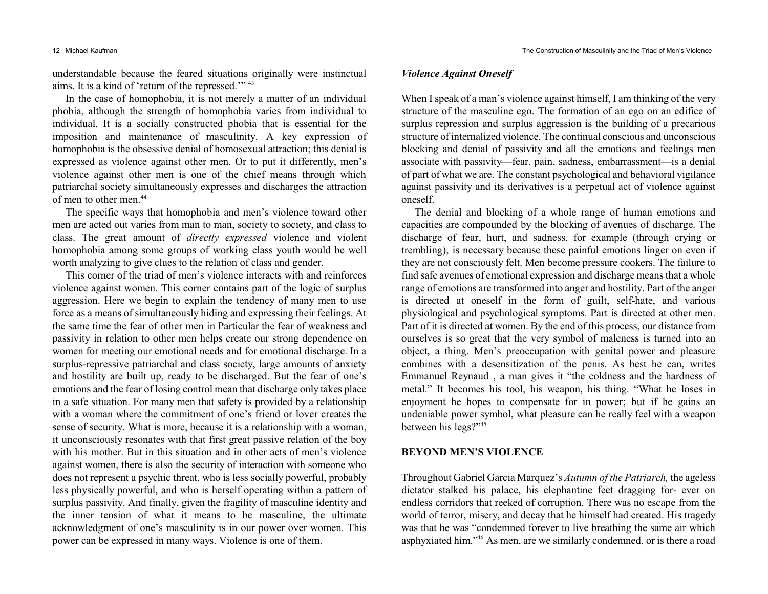understandable because the feared situations originally were instinctual aims. It is a kind of 'return of the repressed.'" <sup>43</sup>

In the case of homophobia, it is not merely a matter of an individual phobia, although the strength of homophobia varies from individual to individual. It is a socially constructed phobia that is essential for the imposition and maintenance of masculinity. A key expression of homophobia is the obsessive denial of homosexual attraction; this denial is expressed as violence against other men. Or to put it differently, men's violence against other men is one of the chief means through which patriarchal society simultaneously expresses and discharges the attraction of men to other men. $44$ 

The specific ways that homophobia and men's violence toward other men are acted out varies from man to man, society to society, and class to class. The great amount of *directly expressed* violence and violent homophobia among some groups of working class youth would be well worth analyzing to give clues to the relation of class and gender.

This corner of the triad of men's violence interacts with and reinforces violence against women. This corner contains part of the logic of surplus aggression. Here we begin to explain the tendency of many men to use force as a means of simultaneously hiding and expressing their feelings. At the same time the fear of other men in Particular the fear of weakness and passivity in relation to other men helps create our strong dependence on women for meeting our emotional needs and for emotional discharge. In a surplus-repressive patriarchal and class society, large amounts of anxiety and hostility are built up, ready to be discharged. But the fear of one's emotions and the fear of losing control mean that discharge only takes place in a safe situation. For many men that safety is provided by a relationship with a woman where the commitment of one's friend or lover creates the sense of security. What is more, because it is a relationship with a woman, it unconsciously resonates with that first great passive relation of the boy with his mother. But in this situation and in other acts of men's violence against women, there is also the security of interaction with someone who does not represent a psychic threat, who is less socially powerful, probably less physically powerful, and who is herself operating within a pattern of surplus passivity. And finally, given the fragility of masculine identity and the inner tension of what it means to be masculine, the ultimate acknowledgment of one's masculinity is in our power over women. This power can be expressed in many ways. Violence is one of them.

### *Violence Against Oneself*

When I speak of a man's violence against himself. I am thinking of the very structure of the masculine ego. The formation of an ego on an edifice of surplus repression and surplus aggression is the building of a precarious structure of internalized violence. The continual conscious and unconscious blocking and denial of passivity and all the emotions and feelings men associate with passivity—fear, pain, sadness, embarrassment—is a denial of part of what we are. The constant psychological and behavioral vigilance against passivity and its derivatives is a perpetual act of violence against oneself.

The denial and blocking of a whole range of human emotions and capacities are compounded by the blocking of avenues of discharge. The discharge of fear, hurt, and sadness, for example (through crying or trembling), is necessary because these painful emotions linger on even if they are not consciously felt. Men become pressure cookers. The failure to find safe avenues of emotional expression and discharge means that a whole range of emotions are transformed into anger and hostility. Part of the anger is directed at oneself in the form of guilt, self-hate, and various physiological and psychological symptoms. Part is directed at other men. Part of it is directed at women. By the end of this process, our distance from ourselves is so great that the very symbol of maleness is turned into an object, a thing. Men's preoccupation with genital power and pleasure combines with a desensitization of the penis. As best he can, writes Emmanuel Reynaud , a man gives it "the coldness and the hardness of metal." It becomes his tool, his weapon, his thing. "What he loses in enjoyment he hopes to compensate for in power; but if he gains an undeniable power symbol, what pleasure can he really feel with a weapon between his legs?"<sup>45</sup>

### **BEYOND MEN'S VIOLENCE**

Throughout Gabriel Garcia Marquez's *Autumn of the Patriarch,* the ageless dictator stalked his palace, his elephantine feet dragging for- ever on endless corridors that reeked of corruption. There was no escape from the world of terror, misery, and decay that he himself had created. His tragedy was that he was "condemned forever to live breathing the same air which asphyxiated him." $46$  As men, are we similarly condemned, or is there a road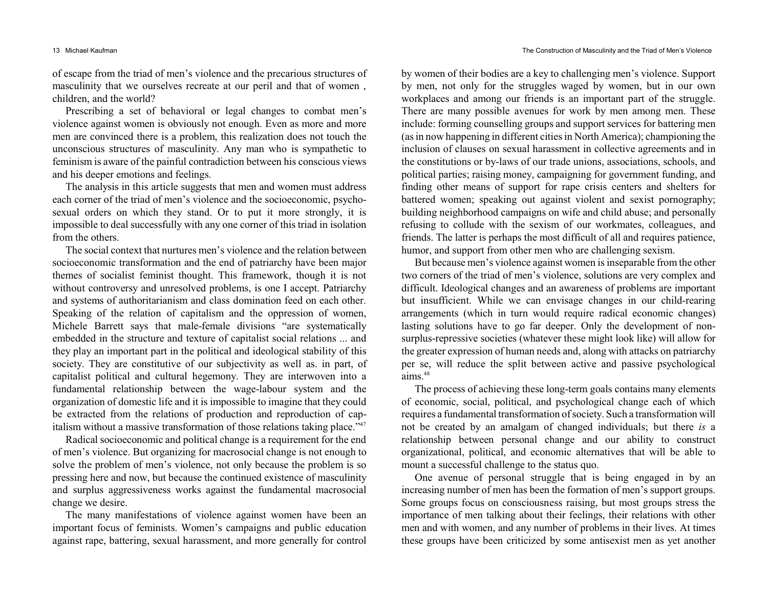of escape from the triad of men's violence and the precarious structures of masculinity that we ourselves recreate at our peril and that of women , children, and the world?

Prescribing a set of behavioral or legal changes to combat men's violence against women is obviously not enough. Even as more and more men are convinced there is a problem, this realization does not touch the unconscious structures of masculinity. Any man who is sympathetic to feminism is aware of the painful contradiction between his conscious views and his deeper emotions and feelings.

The analysis in this article suggests that men and women must address each corner of the triad of men's violence and the socioeconomic, psychosexual orders on which they stand. Or to put it more strongly, it is impossible to deal successfully with any one corner of this triad in isolation from the others.

The social context that nurtures men's violence and the relation between socioeconomic transformation and the end of patriarchy have been major themes of socialist feminist thought. This framework, though it is not without controversy and unresolved problems, is one I accept. Patriarchy and systems of authoritarianism and class domination feed on each other. Speaking of the relation of capitalism and the oppression of women, Michele Barrett says that male-female divisions "are systematically embedded in the structure and texture of capitalist social relations ... and they play an important part in the political and ideological stability of this society. They are constitutive of our subjectivity as well as. in part, of capitalist political and cultural hegemony. They are interwoven into a fundamental relationship between the wage-labour system and the organization of domestic life and it is impossible to imagine that they could be extracted from the relations of production and reproduction of capitalism without a massive transformation of those relations taking place."<sup>47</sup>

Radical socioeconomic and political change is a requirement for the end of men's violence. But organizing for macrosocial change is not enough to solve the problem of men's violence, not only because the problem is so pressing here and now, but because the continued existence of masculinity and surplus aggressiveness works against the fundamental macrosocial change we desire.

The many manifestations of violence against women have been an important focus of feminists. Women's campaigns and public education against rape, battering, sexual harassment, and more generally for control

by women of their bodies are a key to challenging men's violence. Support by men, not only for the struggles waged by women, but in our own workplaces and among our friends is an important part of the struggle. There are many possible avenues for work by men among men. These include: forming counselling groups and support services for battering men (as in now happening in different cities in North America); championing the inclusion of clauses on sexual harassment in collective agreements and in the constitutions or by-laws of our trade unions, associations, schools, and political parties; raising money, campaigning for government funding, and finding other means of support for rape crisis centers and shelters for battered women; speaking out against violent and sexist pornography; building neighborhood campaigns on wife and child abuse; and personally refusing to collude with the sexism of our workmates, colleagues, and friends. The latter is perhaps the most difficult of all and requires patience, humor, and support from other men who are challenging sexism.

But because men's violence against women is inseparable from the other two corners of the triad of men's violence, solutions are very complex and difficult. Ideological changes and an awareness of problems are important but insufficient. While we can envisage changes in our child-rearing arrangements (which in turn would require radical economic changes) lasting solutions have to go far deeper. Only the development of nonsurplus-repressive societies (whatever these might look like) will allow for the greater expression of human needs and, along with attacks on patriarchy per se, will reduce the split between active and passive psychological aims.<sup>48</sup>

The process of achieving these long-term goals contains many elements of economic, social, political, and psychological change each of which requires a fundamental transformation ofsociety. Such a transformation will not be created by an amalgam of changed individuals; but there *is* a relationship between personal change and our ability to construct organizational, political, and economic alternatives that will be able to mount a successful challenge to the status quo.

One avenue of personal struggle that is being engaged in by an increasing number of men has been the formation of men's support groups. Some groups focus on consciousness raising, but most groups stress the importance of men talking about their feelings, their relations with other men and with women, and any number of problems in their lives. At times these groups have been criticized by some antisexist men as yet another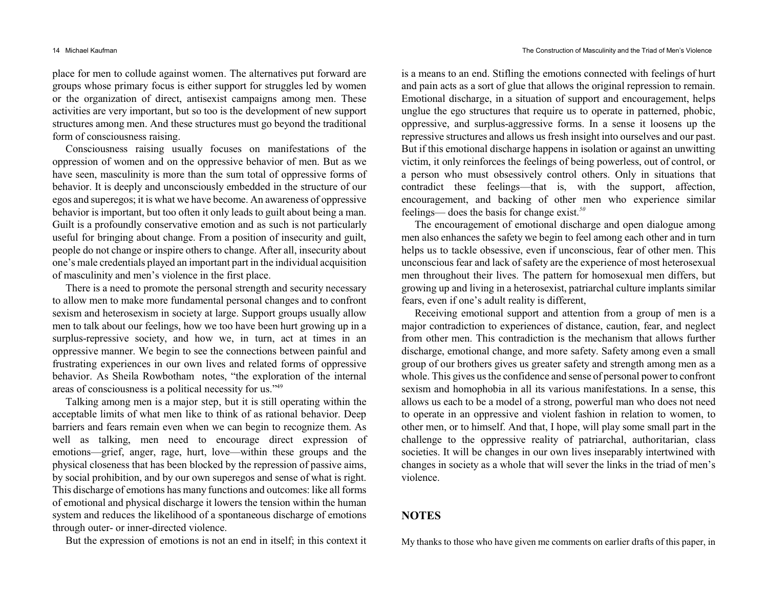place for men to collude against women. The alternatives put forward are groups whose primary focus is either support for struggles led by women or the organization of direct, antisexist campaigns among men. These activities are very important, but so too is the development of new support structures among men. And these structures must go beyond the traditional form of consciousness raising.

Consciousness raising usually focuses on manifestations of the oppression of women and on the oppressive behavior of men. But as we have seen, masculinity is more than the sum total of oppressive forms of behavior. It is deeply and unconsciously embedded in the structure of our egos and superegos; it is what we have become. An awareness of oppressive behavior is important, but too often it only leads to guilt about being a man. Guilt is a profoundly conservative emotion and as such is not particularly useful for bringing about change. From a position of insecurity and guilt, people do not change or inspire others to change. After all, insecurity about one's male credentials played an important part in the individual acquisition of masculinity and men's violence in the first place.

There is a need to promote the personal strength and security necessary to allow men to make more fundamental personal changes and to confront sexism and heterosexism in society at large. Support groups usually allow men to talk about our feelings, how we too have been hurt growing up in a surplus-repressive society, and how we, in turn, act at times in an oppressive manner. We begin to see the connections between painful and frustrating experiences in our own lives and related forms of oppressive behavior. As Sheila Rowbotham notes, "the exploration of the internal areas of consciousness is a political necessity for us."<sup>49</sup>

Talking among men is a major step, but it is still operating within the acceptable limits of what men like to think of as rational behavior. Deep barriers and fears remain even when we can begin to recognize them. As well as talking, men need to encourage direct expression of emotions—grief, anger, rage, hurt, love—within these groups and the physical closeness that has been blocked by the repression of passive aims, by social prohibition, and by our own superegos and sense of what is right. This discharge of emotions has many functions and outcomes: like all forms of emotional and physical discharge it lowers the tension within the human system and reduces the likelihood of a spontaneous discharge of emotions through outer- or inner-directed violence.

But the expression of emotions is not an end in itself; in this context it

is a means to an end. Stifling the emotions connected with feelings of hurt and pain acts as a sort of glue that allows the original repression to remain. Emotional discharge, in a situation of support and encouragement, helps unglue the ego structures that require us to operate in patterned, phobic, oppressive, and surplus-aggressive forms. In a sense it loosens up the repressive structures and allows us fresh insight into ourselves and our past. But if this emotional discharge happens in isolation or against an unwitting victim, it only reinforces the feelings of being powerless, out of control, or a person who must obsessively control others. Only in situations that contradict these feelings—that is, with the support, affection, encouragement, and backing of other men who experience similar feelings— does the basis for change exist. *50*

The encouragement of emotional discharge and open dialogue among men also enhances the safety we begin to feel among each other and in turn helps us to tackle obsessive, even if unconscious, fear of other men. This unconscious fear and lack of safety are the experience of most heterosexual men throughout their lives. The pattern for homosexual men differs, but growing up and living in a heterosexist, patriarchal culture implants similar fears, even if one's adult reality is different,

Receiving emotional support and attention from a group of men is a major contradiction to experiences of distance, caution, fear, and neglect from other men. This contradiction is the mechanism that allows further discharge, emotional change, and more safety. Safety among even a small group of our brothers gives us greater safety and strength among men as a whole. This gives us the confidence and sense of personal power to confront sexism and homophobia in all its various manifestations. In a sense, this allows us each to be a model of a strong, powerful man who does not need to operate in an oppressive and violent fashion in relation to women, to other men, or to himself. And that, I hope, will play some small part in the challenge to the oppressive reality of patriarchal, authoritarian, class societies. It will be changes in our own lives inseparably intertwined with changes in society as a whole that will sever the links in the triad of men's violence.

### **NOTES**

My thanks to those who have given me comments on earlier drafts of this paper, in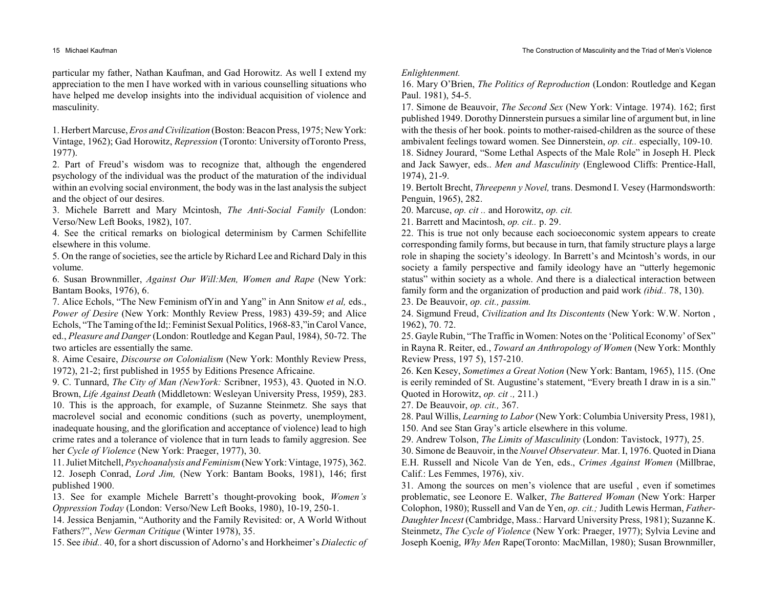particular my father, Nathan Kaufman, and Gad Horowitz. As well I extend my appreciation to the men I have worked with in various counselling situations who have helped me develop insights into the individual acquisition of violence and masculinity.

1. Herbert Marcuse, *Eros and Civilization* (Boston: Beacon Press, 1975; NewYork: Vintage, 1962); Gad Horowitz, *Repression* (Toronto: University ofToronto Press, 1977).

2. Part of Freud's wisdom was to recognize that, although the engendered psychology of the individual was the product of the maturation of the individual within an evolving social environment, the body was in the last analysis the subject and the object of our desires.

3. Michele Barrett and Mary Mcintosh, *The Anti-Social Family* (London: Verso/New Left Books, 1982), 107.

4. See the critical remarks on biological determinism by Carmen Schifellite elsewhere in this volume.

5. On the range of societies, see the article by Richard Lee and Richard Daly in this volume.

6. Susan Brownmiller, *Against Our Will:Men, Women and Rape* (New York: Bantam Books, 1976), 6.

7. Alice Echols, "The New Feminism ofYin and Yang" in Ann Snitow *et al,* eds., *Power of Desire* (New York: Monthly Review Press, 1983) 439-59; and Alice Echols, "The Taming of the Id;: Feminist Sexual Politics, 1968-83,"in Carol Vance, ed., *Pleasure and Danger* (London: Routledge and Kegan Paul, 1984), 50-72. The two articles are essentially the same.

8. Aime Cesaire, *Discourse on Colonialism* (New York: Monthly Review Press, 1972), 21-2; first published in 1955 by Editions Presence Africaine.

9. C. Tunnard, *The City of Man (NewYork:* Scribner, 1953), 43. Quoted in N.O. Brown, *Life Against Death* (Middletown: Wesleyan University Press, 1959), 283. 10. This is the approach, for example, of Suzanne Steinmetz. She says that macrolevel social and economic conditions (such as poverty, unemployment, inadequate housing, and the glorification and acceptance of violence) lead to high crime rates and a tolerance of violence that in turn leads to family aggresion. See her *Cycle of Violence* (New York: Praeger, 1977), 30.

11. Juliet Mitchell, *Psychoanalysis and Feminism* (NewYork: Vintage, 1975), 362. 12. Joseph Conrad, *Lord Jim,* (New York: Bantam Books, 1981), 146; first published 1900.

13. See for example Michele Barrett's thought-provoking book, *Women's Oppression Today* (London: Verso/New Left Books, 1980), 10-19, 250-1.

14. Jessica Benjamin, "Authority and the Family Revisited: or, A World Without Fathers?", *New German Critique* (Winter 1978), 35.

15. See *ibid..* 40, for a short discussion of Adorno's and Horkheimer's *Dialectic of*

*Enlightenment.*

16. Mary O'Brien, *The Politics of Reproduction* (London: Routledge and Kegan Paul. 1981), 54-5.

17. Simone de Beauvoir, *The Second Sex* (New York: Vintage. 1974). 162; first published 1949. Dorothy Dinnerstein pursues a similar line of argument but, in line with the thesis of her book. points to mother-raised-children as the source of these ambivalent feelings toward women. See Dinnerstein, *op. cit..* especially, 109-10. 18. Sidney Jourard, "Some Lethal Aspects of the Male Role" in Joseph H. Pleck and Jack Sawyer, eds.. *Men and Masculinity* (Englewood Cliffs: Prentice-Hall, 1974), 21-9.

19. Bertolt Brecht, *Threepenn y Novel,* trans. Desmond I. Vesey (Harmondsworth: Penguin, 1965), 282.

20. Marcuse, *op. cit ..* and Horowitz, *op. cit.*

21. Barrett and Macintosh, *op. cit..* p. 29.

22. This is true not only because each socioeconomic system appears to create corresponding family forms, but because in turn, that family structure plays a large role in shaping the society's ideology. In Barrett's and Mcintosh's words, in our society a family perspective and family ideology have an "utterly hegemonic status" within society as a whole. And there is a dialectical interaction between family form and the organization of production and paid work *(ibid..* 78, 130).

23. De Beauvoir, *op. cit., passim.*

24. Sigmund Freud, *Civilization and Its Discontents* (New York: W.W. Norton , 1962), 70. 72.

25. Gayle Rubin, "The Traffic in Women: Notes on the 'Political Economy' of Sex" in Rayna R. Reiter, ed., *Toward an Anthropology of Women* (New York: Monthly Review Press, 197 5), 157-210.

26. Ken Kesey, *Sometimes a Great Notion* (New York: Bantam, 1965), 115. (One is eerily reminded of St. Augustine's statement, "Every breath I draw in is a sin." Quoted in Horowitz, *op. cit .,* 211.)

27. De Beauvoir, *op. cit.,* 367.

28. Paul Willis, *Learning to Labor* (New York: Columbia University Press, 1981), 150. And see Stan Gray's article elsewhere in this volume.

29. Andrew Tolson, *The Limits of Masculinity* (London: Tavistock, 1977), 25.

30. Simone de Beauvoir, in the *Nouvel Observateur.* Mar. I, 1976. Quoted in Diana E.H. Russell and Nicole Van de Yen, eds., *Crimes Against Women* (Millbrae, Calif.: Les Femmes, 1976), xiv.

31. Among the sources on men's violence that are useful , even if sometimes problematic, see Leonore E. Walker, *The Battered Woman* (New York: Harper Colophon, 1980); Russell and Van de Yen, *op. cit.;* Judith Lewis Herman, *Father-Daughter Incest* (Cambridge, Mass.: Harvard University Press, 1981); Suzanne K. Steinmetz, *The Cycle of Violence* (New York: Praeger, 1977); Sylvia Levine and Joseph Koenig, *Why Men* Rape(Toronto: MacMillan, 1980); Susan Brownmiller,